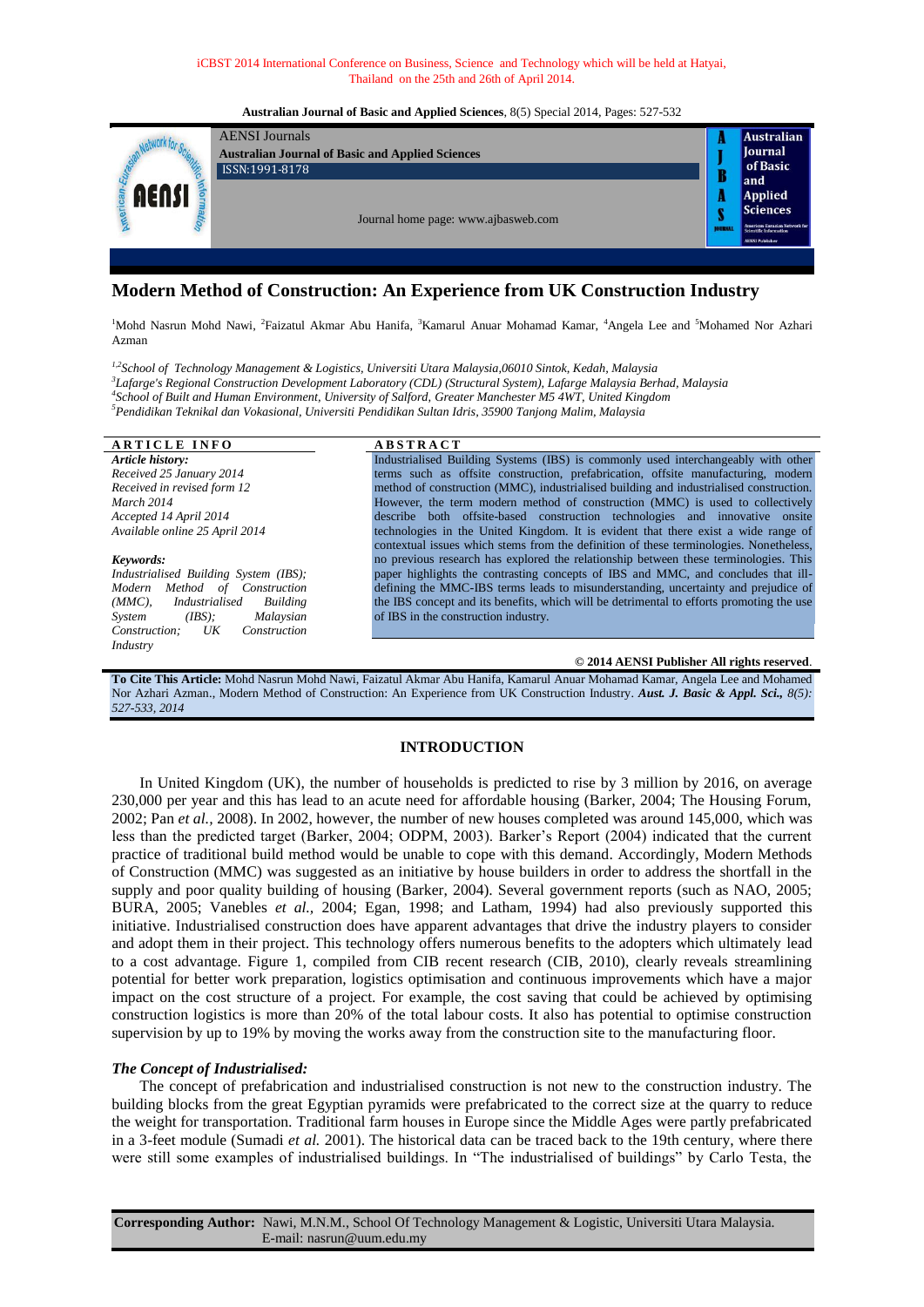## iCBST 2014 International Conference on Business, Science and Technology which will be held at Hatyai, Thailand on the 25th and 26th of April 2014.

### **Australian Journal of Basic and Applied Sciences**, 8(5) Special 2014, Pages: 527-532

|  | <b>AENSI</b> Journals                                   |               | <b>Australian</b>                                              |
|--|---------------------------------------------------------|---------------|----------------------------------------------------------------|
|  | <b>Australian Journal of Basic and Applied Sciences</b> |               | <b>Journal</b>                                                 |
|  | ISSN:1991-8178                                          | B             | of Basic                                                       |
|  |                                                         |               | and                                                            |
|  | Journal home page: www.ajbasweb.com                     |               | <b>Applied</b>                                                 |
|  |                                                         |               | <i><b>Sciences</b></i>                                         |
|  |                                                         | <b>DURKAI</b> | American-Eurasian Network for<br><b>Scientific Information</b> |
|  |                                                         |               | <b>AENSI Publisher</b>                                         |
|  |                                                         |               |                                                                |

# **Modern Method of Construction: An Experience from UK Construction Industry**

<sup>1</sup>Mohd Nasrun Mohd Nawi, <sup>2</sup>Faizatul Akmar Abu Hanifa, <sup>3</sup>Kamarul Anuar Mohamad Kamar, <sup>4</sup>Angela Lee and <sup>5</sup>Mohamed Nor Azhari Azman

*1,2School of Technology Management & Logistics, Universiti Utara Malaysia,06010 Sintok, Kedah, Malaysia Lafarge's Regional Construction Development Laboratory (CDL) (Structural System), Lafarge Malaysia Berhad, Malaysia School of Built and Human Environment, University of Salford, Greater Manchester M5 4WT, United Kingdom Pendidikan Teknikal dan Vokasional, Universiti Pendidikan Sultan Idris, 35900 Tanjong Malim, Malaysia*

| <b>ARTICLE INFO</b>                     | <b>ABSTRACT</b>                                                                          |  |  |  |
|-----------------------------------------|------------------------------------------------------------------------------------------|--|--|--|
| Article history:                        | Industrialised Building Systems (IBS) is commonly used interchangeably with other        |  |  |  |
| Received 25 January 2014                | terms such as offsite construction, prefabrication, offsite manufacturing, modern        |  |  |  |
| Received in revised form 12             | method of construction (MMC), industrialised building and industrialised construction.   |  |  |  |
| March 2014                              | However, the term modern method of construction (MMC) is used to collectively            |  |  |  |
| Accepted 14 April 2014                  | describe both offsite-based construction technologies and innovative onsite              |  |  |  |
| Available online 25 April 2014          | technologies in the United Kingdom. It is evident that there exist a wide range of       |  |  |  |
|                                         | contextual issues which stems from the definition of these terminologies. Nonetheless,   |  |  |  |
| Keywords:                               | no previous research has explored the relationship between these terminologies. This     |  |  |  |
| Industrialised Building System (IBS);   | paper highlights the contrasting concepts of IBS and MMC, and concludes that ill-        |  |  |  |
| Modern Method of Construction           | defining the MMC-IBS terms leads to misunderstanding, uncertainty and prejudice of       |  |  |  |
| Industrialised<br>$(MMC)$ ,<br>Building | the IBS concept and its benefits, which will be detrimental to efforts promoting the use |  |  |  |
| Malaysian<br>(BSS):<br>System           | of IBS in the construction industry.                                                     |  |  |  |
| Construction<br>Construction;<br>U K    |                                                                                          |  |  |  |
| Industry                                |                                                                                          |  |  |  |

# **© 2014 AENSI Publisher All rights reserved**.

**To Cite This Article:** Mohd Nasrun Mohd Nawi, Faizatul Akmar Abu Hanifa, Kamarul Anuar Mohamad Kamar, Angela Lee and Mohamed Nor Azhari Azman., Modern Method of Construction: An Experience from UK Construction Industry. *Aust. J. Basic & Appl. Sci., 8(5): 527-533, 2014*

# **INTRODUCTION**

In United Kingdom (UK), the number of households is predicted to rise by 3 million by 2016, on average 230,000 per year and this has lead to an acute need for affordable housing (Barker, 2004; The Housing Forum, 2002; Pan *et al.,* 2008). In 2002, however, the number of new houses completed was around 145,000, which was less than the predicted target (Barker, 2004; ODPM, 2003). Barker"s Report (2004) indicated that the current practice of traditional build method would be unable to cope with this demand. Accordingly, Modern Methods of Construction (MMC) was suggested as an initiative by house builders in order to address the shortfall in the supply and poor quality building of housing (Barker, 2004). Several government reports (such as NAO, 2005; BURA, 2005; Vanebles *et al.,* 2004; Egan, 1998; and Latham, 1994) had also previously supported this initiative. Industrialised construction does have apparent advantages that drive the industry players to consider and adopt them in their project. This technology offers numerous benefits to the adopters which ultimately lead to a cost advantage. Figure 1, compiled from CIB recent research (CIB, 2010), clearly reveals streamlining potential for better work preparation, logistics optimisation and continuous improvements which have a major impact on the cost structure of a project. For example, the cost saving that could be achieved by optimising construction logistics is more than 20% of the total labour costs. It also has potential to optimise construction supervision by up to 19% by moving the works away from the construction site to the manufacturing floor.

# *The Concept of Industrialised:*

The concept of prefabrication and industrialised construction is not new to the construction industry. The building blocks from the great Egyptian pyramids were prefabricated to the correct size at the quarry to reduce the weight for transportation. Traditional farm houses in Europe since the Middle Ages were partly prefabricated in a 3-feet module (Sumadi *et al.* 2001). The historical data can be traced back to the 19th century, where there were still some examples of industrialised buildings. In "The industrialised of buildings" by Carlo Testa, the

**Corresponding Author:** Nawi, M.N.M., School Of Technology Management & Logistic, Universiti Utara Malaysia. E-mail: nasrun@uum.edu.my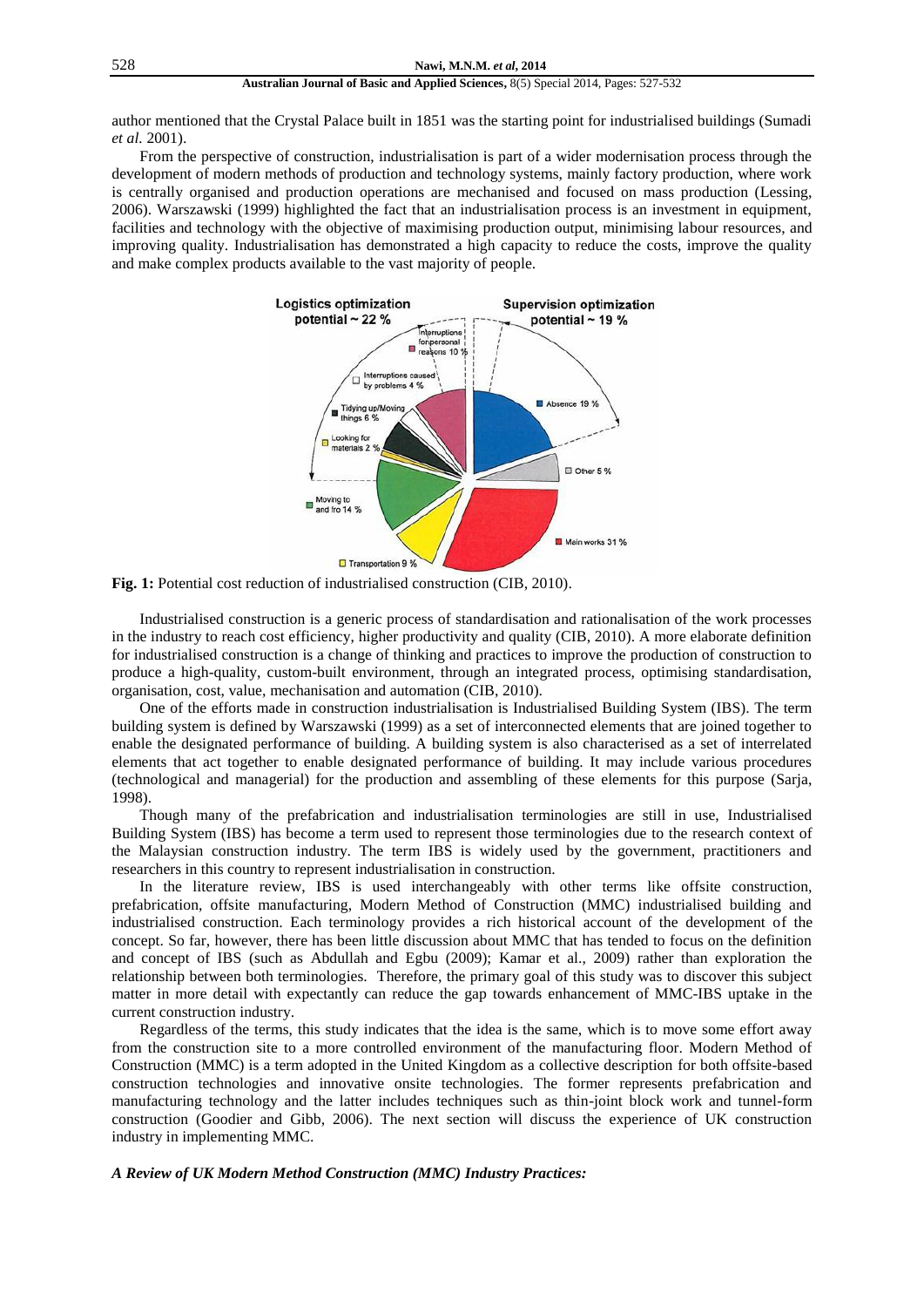author mentioned that the Crystal Palace built in 1851 was the starting point for industrialised buildings (Sumadi *et al.* 2001).

From the perspective of construction, industrialisation is part of a wider modernisation process through the development of modern methods of production and technology systems, mainly factory production, where work is centrally organised and production operations are mechanised and focused on mass production (Lessing, 2006). Warszawski (1999) highlighted the fact that an industrialisation process is an investment in equipment, facilities and technology with the objective of maximising production output, minimising labour resources, and improving quality. Industrialisation has demonstrated a high capacity to reduce the costs, improve the quality and make complex products available to the vast majority of people.



Fig. 1: Potential cost reduction of industrialised construction (CIB, 2010).

Industrialised construction is a generic process of standardisation and rationalisation of the work processes in the industry to reach cost efficiency, higher productivity and quality (CIB, 2010). A more elaborate definition for industrialised construction is a change of thinking and practices to improve the production of construction to produce a high-quality, custom-built environment, through an integrated process, optimising standardisation, organisation, cost, value, mechanisation and automation (CIB, 2010).

One of the efforts made in construction industrialisation is Industrialised Building System (IBS). The term building system is defined by Warszawski (1999) as a set of interconnected elements that are joined together to enable the designated performance of building. A building system is also characterised as a set of interrelated elements that act together to enable designated performance of building. It may include various procedures (technological and managerial) for the production and assembling of these elements for this purpose (Sarja, 1998).

Though many of the prefabrication and industrialisation terminologies are still in use, Industrialised Building System (IBS) has become a term used to represent those terminologies due to the research context of the Malaysian construction industry. The term IBS is widely used by the government, practitioners and researchers in this country to represent industrialisation in construction.

In the literature review, IBS is used interchangeably with other terms like offsite construction, prefabrication, offsite manufacturing, Modern Method of Construction (MMC) industrialised building and industrialised construction. Each terminology provides a rich historical account of the development of the concept. So far, however, there has been little discussion about MMC that has tended to focus on the definition and concept of IBS (such as Abdullah and Egbu (2009); Kamar et al., 2009) rather than exploration the relationship between both terminologies. Therefore, the primary goal of this study was to discover this subject matter in more detail with expectantly can reduce the gap towards enhancement of MMC-IBS uptake in the current construction industry.

Regardless of the terms, this study indicates that the idea is the same, which is to move some effort away from the construction site to a more controlled environment of the manufacturing floor. Modern Method of Construction (MMC) is a term adopted in the United Kingdom as a collective description for both offsite-based construction technologies and innovative onsite technologies. The former represents prefabrication and manufacturing technology and the latter includes techniques such as thin-joint block work and tunnel-form construction (Goodier and Gibb, 2006). The next section will discuss the experience of UK construction industry in implementing MMC.

# *A Review of UK Modern Method Construction (MMC) Industry Practices:*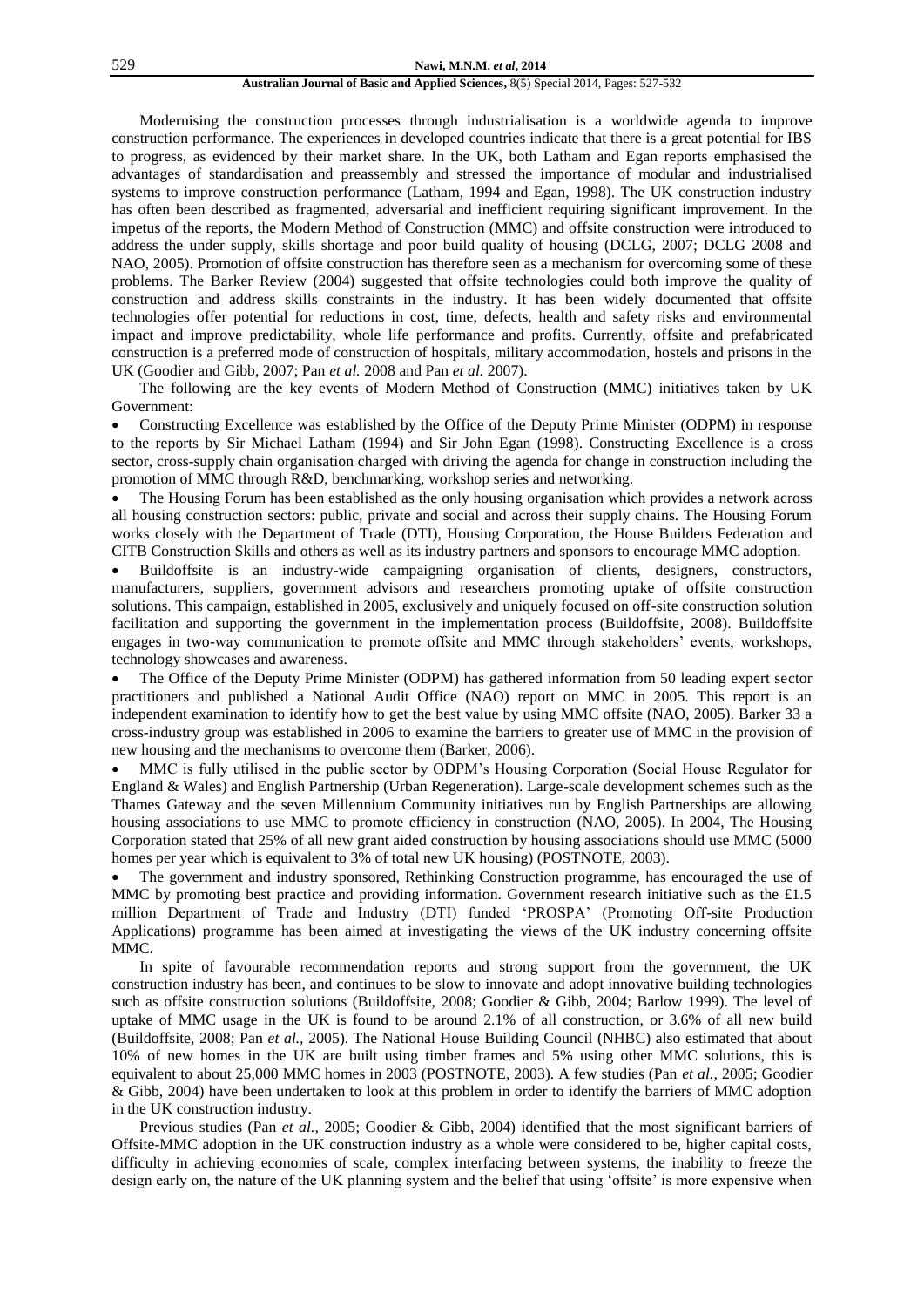#### 529 **Nawi, M.N.M.** *et al***, 2014**

#### **Australian Journal of Basic and Applied Sciences,** 8(5) Special 2014, Pages: 527-532

Modernising the construction processes through industrialisation is a worldwide agenda to improve construction performance. The experiences in developed countries indicate that there is a great potential for IBS to progress, as evidenced by their market share. In the UK, both Latham and Egan reports emphasised the advantages of standardisation and preassembly and stressed the importance of modular and industrialised systems to improve construction performance (Latham, 1994 and Egan, 1998). The UK construction industry has often been described as fragmented, adversarial and inefficient requiring significant improvement. In the impetus of the reports, the Modern Method of Construction (MMC) and offsite construction were introduced to address the under supply, skills shortage and poor build quality of housing (DCLG, 2007; DCLG 2008 and NAO, 2005). Promotion of offsite construction has therefore seen as a mechanism for overcoming some of these problems. The Barker Review (2004) suggested that offsite technologies could both improve the quality of construction and address skills constraints in the industry. It has been widely documented that offsite technologies offer potential for reductions in cost, time, defects, health and safety risks and environmental impact and improve predictability, whole life performance and profits. Currently, offsite and prefabricated construction is a preferred mode of construction of hospitals, military accommodation, hostels and prisons in the UK (Goodier and Gibb, 2007; Pan *et al.* 2008 and Pan *et al.* 2007).

The following are the key events of Modern Method of Construction (MMC) initiatives taken by UK Government:

 Constructing Excellence was established by the Office of the Deputy Prime Minister (ODPM) in response to the reports by Sir Michael Latham (1994) and Sir John Egan (1998). Constructing Excellence is a cross sector, cross-supply chain organisation charged with driving the agenda for change in construction including the promotion of MMC through R&D, benchmarking, workshop series and networking.

 The Housing Forum has been established as the only housing organisation which provides a network across all housing construction sectors: public, private and social and across their supply chains. The Housing Forum works closely with the Department of Trade (DTI), Housing Corporation, the House Builders Federation and CITB Construction Skills and others as well as its industry partners and sponsors to encourage MMC adoption.

 Buildoffsite is an industry-wide campaigning organisation of clients, designers, constructors, manufacturers, suppliers, government advisors and researchers promoting uptake of offsite construction solutions. This campaign, established in 2005, exclusively and uniquely focused on off-site construction solution facilitation and supporting the government in the implementation process (Buildoffsite, 2008). Buildoffsite engages in two-way communication to promote offsite and MMC through stakeholders" events, workshops, technology showcases and awareness.

 The Office of the Deputy Prime Minister (ODPM) has gathered information from 50 leading expert sector practitioners and published a National Audit Office (NAO) report on MMC in 2005. This report is an independent examination to identify how to get the best value by using MMC offsite (NAO, 2005). Barker 33 a cross-industry group was established in 2006 to examine the barriers to greater use of MMC in the provision of new housing and the mechanisms to overcome them (Barker, 2006).

 MMC is fully utilised in the public sector by ODPM"s Housing Corporation (Social House Regulator for England & Wales) and English Partnership (Urban Regeneration). Large-scale development schemes such as the Thames Gateway and the seven Millennium Community initiatives run by English Partnerships are allowing housing associations to use MMC to promote efficiency in construction (NAO, 2005). In 2004, The Housing Corporation stated that 25% of all new grant aided construction by housing associations should use MMC (5000 homes per year which is equivalent to 3% of total new UK housing) (POSTNOTE, 2003).

 The government and industry sponsored, Rethinking Construction programme, has encouraged the use of MMC by promoting best practice and providing information. Government research initiative such as the £1.5 million Department of Trade and Industry (DTI) funded "PROSPA" (Promoting Off-site Production Applications) programme has been aimed at investigating the views of the UK industry concerning offsite MMC.

In spite of favourable recommendation reports and strong support from the government, the UK construction industry has been, and continues to be slow to innovate and adopt innovative building technologies such as offsite construction solutions (Buildoffsite, 2008; Goodier & Gibb, 2004; Barlow 1999). The level of uptake of MMC usage in the UK is found to be around 2.1% of all construction, or 3.6% of all new build (Buildoffsite, 2008; Pan *et al.,* 2005). The National House Building Council (NHBC) also estimated that about 10% of new homes in the UK are built using timber frames and 5% using other MMC solutions, this is equivalent to about 25,000 MMC homes in 2003 (POSTNOTE, 2003). A few studies (Pan *et al.,* 2005; Goodier & Gibb, 2004) have been undertaken to look at this problem in order to identify the barriers of MMC adoption in the UK construction industry.

Previous studies (Pan *et al.,* 2005; Goodier & Gibb, 2004) identified that the most significant barriers of Offsite-MMC adoption in the UK construction industry as a whole were considered to be, higher capital costs, difficulty in achieving economies of scale, complex interfacing between systems, the inability to freeze the design early on, the nature of the UK planning system and the belief that using 'offsite' is more expensive when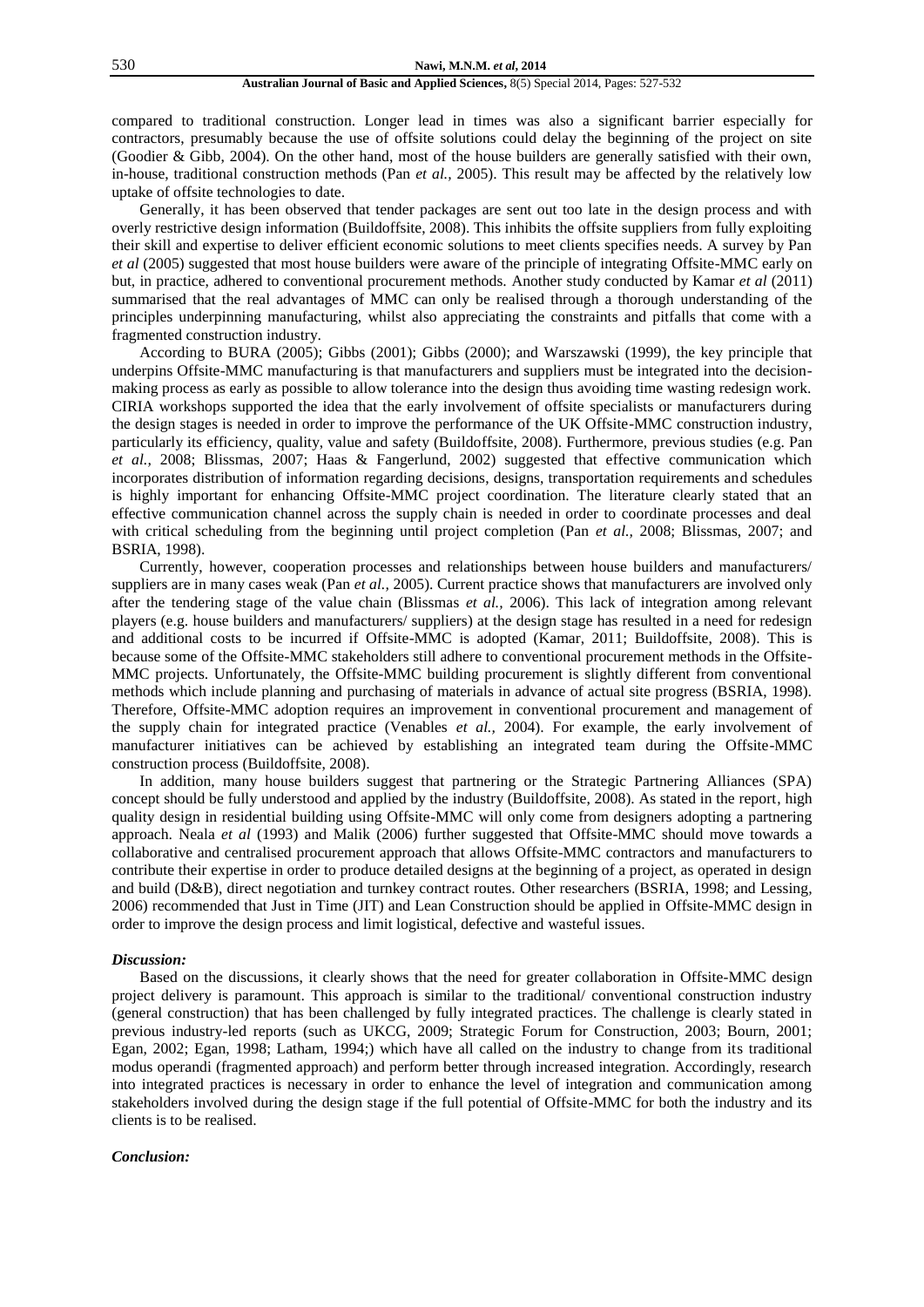compared to traditional construction. Longer lead in times was also a significant barrier especially for contractors, presumably because the use of offsite solutions could delay the beginning of the project on site (Goodier & Gibb, 2004). On the other hand, most of the house builders are generally satisfied with their own, in-house, traditional construction methods (Pan *et al.,* 2005). This result may be affected by the relatively low uptake of offsite technologies to date.

Generally, it has been observed that tender packages are sent out too late in the design process and with overly restrictive design information (Buildoffsite, 2008). This inhibits the offsite suppliers from fully exploiting their skill and expertise to deliver efficient economic solutions to meet clients specifies needs. A survey by Pan *et al* (2005) suggested that most house builders were aware of the principle of integrating Offsite-MMC early on but, in practice, adhered to conventional procurement methods. Another study conducted by Kamar *et al* (2011) summarised that the real advantages of MMC can only be realised through a thorough understanding of the principles underpinning manufacturing, whilst also appreciating the constraints and pitfalls that come with a fragmented construction industry.

According to BURA (2005); Gibbs (2001); Gibbs (2000); and Warszawski (1999), the key principle that underpins Offsite-MMC manufacturing is that manufacturers and suppliers must be integrated into the decisionmaking process as early as possible to allow tolerance into the design thus avoiding time wasting redesign work. CIRIA workshops supported the idea that the early involvement of offsite specialists or manufacturers during the design stages is needed in order to improve the performance of the UK Offsite-MMC construction industry, particularly its efficiency, quality, value and safety (Buildoffsite, 2008). Furthermore, previous studies (e.g. Pan *et al.,* 2008; Blissmas, 2007; Haas & Fangerlund, 2002) suggested that effective communication which incorporates distribution of information regarding decisions, designs, transportation requirements and schedules is highly important for enhancing Offsite-MMC project coordination. The literature clearly stated that an effective communication channel across the supply chain is needed in order to coordinate processes and deal with critical scheduling from the beginning until project completion (Pan *et al.,* 2008; Blissmas, 2007; and BSRIA, 1998).

Currently, however, cooperation processes and relationships between house builders and manufacturers/ suppliers are in many cases weak (Pan *et al.*, 2005). Current practice shows that manufacturers are involved only after the tendering stage of the value chain (Blissmas *et al.,* 2006). This lack of integration among relevant players (e.g. house builders and manufacturers/ suppliers) at the design stage has resulted in a need for redesign and additional costs to be incurred if Offsite-MMC is adopted (Kamar, 2011; Buildoffsite, 2008). This is because some of the Offsite-MMC stakeholders still adhere to conventional procurement methods in the Offsite-MMC projects. Unfortunately, the Offsite-MMC building procurement is slightly different from conventional methods which include planning and purchasing of materials in advance of actual site progress (BSRIA, 1998). Therefore, Offsite-MMC adoption requires an improvement in conventional procurement and management of the supply chain for integrated practice (Venables *et al.,* 2004). For example, the early involvement of manufacturer initiatives can be achieved by establishing an integrated team during the Offsite-MMC construction process (Buildoffsite, 2008).

In addition, many house builders suggest that partnering or the Strategic Partnering Alliances (SPA) concept should be fully understood and applied by the industry (Buildoffsite, 2008). As stated in the report, high quality design in residential building using Offsite-MMC will only come from designers adopting a partnering approach. Neala *et al* (1993) and Malik (2006) further suggested that Offsite-MMC should move towards a collaborative and centralised procurement approach that allows Offsite-MMC contractors and manufacturers to contribute their expertise in order to produce detailed designs at the beginning of a project, as operated in design and build (D&B), direct negotiation and turnkey contract routes. Other researchers (BSRIA, 1998; and Lessing*,*  2006) recommended that Just in Time (JIT) and Lean Construction should be applied in Offsite-MMC design in order to improve the design process and limit logistical, defective and wasteful issues.

# *Discussion:*

Based on the discussions, it clearly shows that the need for greater collaboration in Offsite-MMC design project delivery is paramount. This approach is similar to the traditional/ conventional construction industry (general construction) that has been challenged by fully integrated practices. The challenge is clearly stated in previous industry-led reports (such as UKCG, 2009; Strategic Forum for Construction, 2003; Bourn, 2001; Egan, 2002; Egan, 1998; Latham, 1994;) which have all called on the industry to change from its traditional modus operandi (fragmented approach) and perform better through increased integration. Accordingly, research into integrated practices is necessary in order to enhance the level of integration and communication among stakeholders involved during the design stage if the full potential of Offsite-MMC for both the industry and its clients is to be realised.

#### *Conclusion:*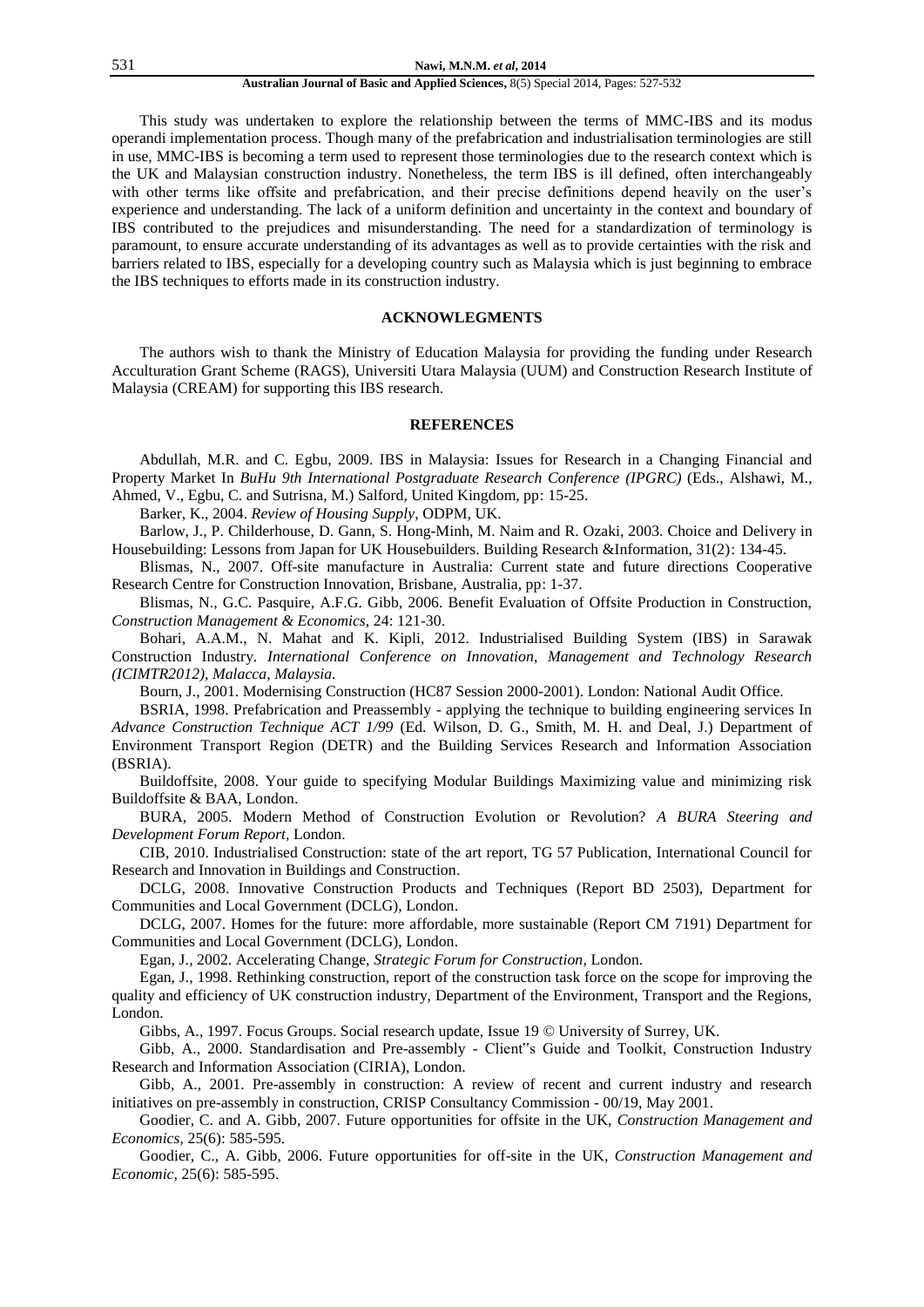This study was undertaken to explore the relationship between the terms of MMC-IBS and its modus operandi implementation process. Though many of the prefabrication and industrialisation terminologies are still in use, MMC-IBS is becoming a term used to represent those terminologies due to the research context which is the UK and Malaysian construction industry. Nonetheless, the term IBS is ill defined, often interchangeably with other terms like offsite and prefabrication, and their precise definitions depend heavily on the user's experience and understanding. The lack of a uniform definition and uncertainty in the context and boundary of IBS contributed to the prejudices and misunderstanding. The need for a standardization of terminology is paramount, to ensure accurate understanding of its advantages as well as to provide certainties with the risk and barriers related to IBS, especially for a developing country such as Malaysia which is just beginning to embrace the IBS techniques to efforts made in its construction industry.

# **ACKNOWLEGMENTS**

The authors wish to thank the Ministry of Education Malaysia for providing the funding under Research Acculturation Grant Scheme (RAGS), Universiti Utara Malaysia (UUM) and Construction Research Institute of Malaysia (CREAM) for supporting this IBS research.

#### **REFERENCES**

Abdullah, M.R. and C. Egbu, 2009. IBS in Malaysia: Issues for Research in a Changing Financial and Property Market In *BuHu 9th International Postgraduate Research Conference (IPGRC)* (Eds., Alshawi, M., Ahmed, V., Egbu, C. and Sutrisna, M.) Salford, United Kingdom, pp: 15-25.

Barker, K., 2004. *Review of Housing Supply*, ODPM, UK.

Barlow, J., P. Childerhouse, D. Gann, S. Hong-Minh, M. Naim and R. Ozaki, 2003. Choice and Delivery in Housebuilding: Lessons from Japan for UK Housebuilders. Building Research &Information, 31(2): 134-45.

Blismas, N., 2007. Off-site manufacture in Australia: Current state and future directions Cooperative Research Centre for Construction Innovation, Brisbane, Australia, pp: 1-37.

Blismas, N., G.C. Pasquire, A.F.G. Gibb, 2006. Benefit Evaluation of Offsite Production in Construction, *Construction Management & Economics*, 24: 121-30.

Bohari, A.A.M., N. Mahat and K. Kipli, 2012. Industrialised Building System (IBS) in Sarawak Construction Industry. *International Conference on Innovation, Management and Technology Research (ICIMTR2012), Malacca, Malaysia.*

Bourn, J., 2001. Modernising Construction (HC87 Session 2000-2001). London: National Audit Office.

BSRIA, 1998. Prefabrication and Preassembly - applying the technique to building engineering services In *Advance Construction Technique ACT 1/99* (Ed. Wilson, D. G., Smith, M. H. and Deal, J.) Department of Environment Transport Region (DETR) and the Building Services Research and Information Association (BSRIA).

Buildoffsite, 2008. Your guide to specifying Modular Buildings Maximizing value and minimizing risk Buildoffsite & BAA, London.

BURA, 2005. Modern Method of Construction Evolution or Revolution? *A BURA Steering and Development Forum Report*, London.

CIB, 2010. Industrialised Construction: state of the art report, TG 57 Publication, International Council for Research and Innovation in Buildings and Construction.

DCLG, 2008. Innovative Construction Products and Techniques (Report BD 2503), Department for Communities and Local Government (DCLG), London.

DCLG, 2007. Homes for the future: more affordable, more sustainable (Report CM 7191) Department for Communities and Local Government (DCLG), London.

Egan, J., 2002. Accelerating Change, *Strategic Forum for Construction*, London.

Egan, J., 1998. Rethinking construction, report of the construction task force on the scope for improving the quality and efficiency of UK construction industry, Department of the Environment, Transport and the Regions, London.

Gibbs, A., 1997. Focus Groups. Social research update, Issue 19 © University of Surrey, UK.

Gibb, A., 2000. Standardisation and Pre-assembly - Client"s Guide and Toolkit, Construction Industry Research and Information Association (CIRIA), London.

Gibb, A., 2001. Pre-assembly in construction: A review of recent and current industry and research initiatives on pre-assembly in construction, CRISP Consultancy Commission - 00/19, May 2001.

Goodier, C. and A. Gibb, 2007. Future opportunities for offsite in the UK, *Construction Management and Economics,* 25(6): 585-595.

Goodier, C., A. Gibb, 2006. Future opportunities for off-site in the UK, *Construction Management and Economic,* 25(6): 585-595.